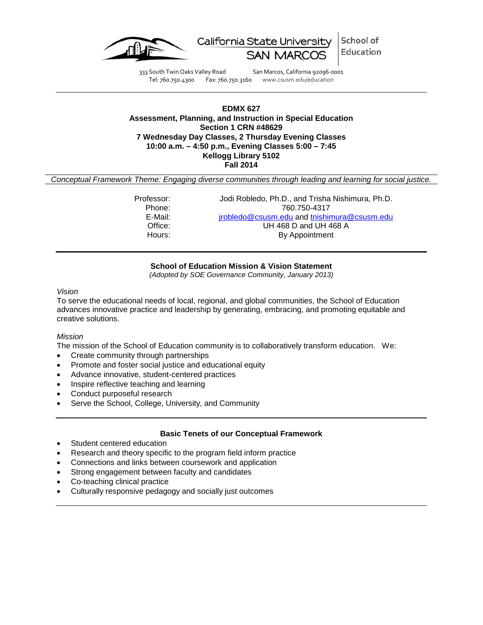

School of California State University Education

333 South Twin Oaks Valley Road San Marcos, California 92096-0001 Tel: 760.750.4300 Fax: 760.750.3160 www.csusm.edu/education

## **EDMX 627 Assessment, Planning, and Instruction in Special Education Section 1 CRN #48629 7 Wednesday Day Classes, 2 Thursday Evening Classes 10:00 a.m. – 4:50 p.m., Evening Classes 5:00 – 7:45 Kellogg Library 5102 Fall 2014**

*Conceptual Framework Theme: Engaging diverse communities through leading and learning for social justice.*

Professor: Jodi Robledo, Ph.D., and Trisha Nishimura, Ph.D. Phone: 760.750-4317<br>E-Mail: *irobledo@csusm.edu* and tnishir E-Mail: *[jrobledo@csusm.edu](mailto:jrobledo@csusm.edu)* and [tnishimura@csusm.edu](mailto:tnishimura@csusm.edu)<br>Office: **july 468 D** and UH 468 A Office: UH 468 D and UH 468 A<br>Hours: By Appointment By Appointment

**School of Education Mission & Vision Statement**

*(Adopted by SOE Governance Community, January 2013)*

#### *Vision*

To serve the educational needs of local, regional, and global communities, the School of Education advances innovative practice and leadership by generating, embracing, and promoting equitable and creative solutions.

#### *Mission*

The mission of the School of Education community is to collaboratively transform education. We:

- Create community through partnerships
- Promote and foster social justice and educational equity
- Advance innovative, student-centered practices
- Inspire reflective teaching and learning
- Conduct purposeful research
- Serve the School, College, University, and Community

#### **Basic Tenets of our Conceptual Framework**

- Student centered education
- Research and theory specific to the program field inform practice
- Connections and links between coursework and application
- Strong engagement between faculty and candidates
- Co-teaching clinical practice
- Culturally responsive pedagogy and socially just outcomes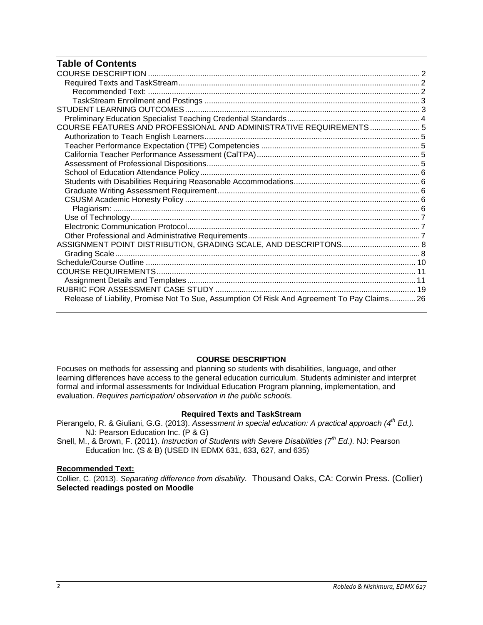# **Table of Contents**

| COURSE FEATURES AND PROFESSIONAL AND ADMINISTRATIVE REQUIREMENTS 5                          |  |
|---------------------------------------------------------------------------------------------|--|
|                                                                                             |  |
|                                                                                             |  |
|                                                                                             |  |
|                                                                                             |  |
|                                                                                             |  |
|                                                                                             |  |
|                                                                                             |  |
|                                                                                             |  |
|                                                                                             |  |
|                                                                                             |  |
|                                                                                             |  |
|                                                                                             |  |
|                                                                                             |  |
|                                                                                             |  |
|                                                                                             |  |
|                                                                                             |  |
|                                                                                             |  |
|                                                                                             |  |
| Release of Liability, Promise Not To Sue, Assumption Of Risk And Agreement To Pay Claims 26 |  |

#### **COURSE DESCRIPTION**

<span id="page-1-0"></span>Focuses on methods for assessing and planning so students with disabilities, language, and other learning differences have access to the general education curriculum. Students administer and interpret formal and informal assessments for Individual Education Program planning, implementation, and evaluation. *Requires participation/ observation in the public schools.*

## **Required Texts and TaskStream**

- <span id="page-1-1"></span>Pierangelo, R. & Giuliani, G.G. (2013). *Assessment in special education: A practical approach (4th Ed.).*  NJ: Pearson Education Inc. (P & G)
- Snell, M., & Brown, F. (2011). *Instruction of Students with Severe Disabilities (7th Ed.).* NJ: Pearson Education Inc. (S & B) (USED IN EDMX 631, 633, 627, and 635)

## <span id="page-1-2"></span>**Recommended Text:**

<span id="page-1-3"></span>Collier, C. (2013). *Separating difference from disability.* Thousand Oaks, CA: Corwin Press. (Collier) **Selected readings posted on Moodle**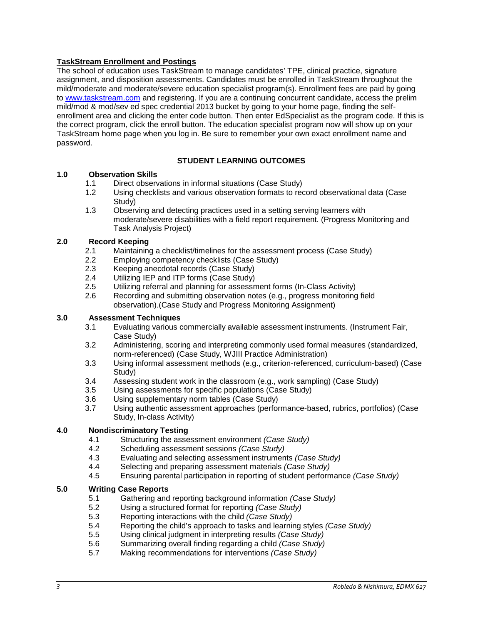## **TaskStream Enrollment and Postings**

The school of education uses TaskStream to manage candidates' TPE, clinical practice, signature assignment, and disposition assessments. Candidates must be enrolled in TaskStream throughout the mild/moderate and moderate/severe education specialist program(s). Enrollment fees are paid by going to [www.taskstream.com](http://www.taskstrem.com/) and registering. If you are a continuing concurrent candidate, access the prelim mild/mod & mod/sev ed spec credential 2013 bucket by going to your home page, finding the selfenrollment area and clicking the enter code button. Then enter EdSpecialist as the program code. If this is the correct program, click the enroll button. The education specialist program now will show up on your TaskStream home page when you log in. Be sure to remember your own exact enrollment name and password.

# **STUDENT LEARNING OUTCOMES**

## <span id="page-2-0"></span>**1.0 Observation Skills**

- 1.1 Direct observations in informal situations (Case Study)
- 1.2 Using checklists and various observation formats to record observational data (Case Study)
- 1.3 Observing and detecting practices used in a setting serving learners with moderate/severe disabilities with a field report requirement. (Progress Monitoring and Task Analysis Project)

## **2.0 Record Keeping**

- 2.1 Maintaining a checklist/timelines for the assessment process (Case Study)
- 2.2 Employing competency checklists (Case Study)
- 2.3 Keeping anecdotal records (Case Study)<br>2.4 Utilizing IEP and ITP forms (Case Study)
- 2.4 Utilizing IEP and ITP forms (Case Study)<br>2.5 Utilizing referral and planning for assessn
- 2.5 Utilizing referral and planning for assessment forms (In-Class Activity)<br>2.6 Recording and submitting observation notes (e.g., progress monitoring
- Recording and submitting observation notes (e.g., progress monitoring field observation).(Case Study and Progress Monitoring Assignment)

## **3.0 Assessment Techniques**

- 3.1 Evaluating various commercially available assessment instruments. (Instrument Fair, Case Study)
- 3.2 Administering, scoring and interpreting commonly used formal measures (standardized, norm-referenced) (Case Study, WJIII Practice Administration)
- 3.3 Using informal assessment methods (e.g., criterion-referenced, curriculum-based) (Case Study)
- 3.4 Assessing student work in the classroom (e.g., work sampling) (Case Study)
- 3.5 Using assessments for specific populations (Case Study)<br>3.6 Using supplementary norm tables (Case Study)
- 3.6 Using supplementary norm tables (Case Study)
- Using authentic assessment approaches (performance-based, rubrics, portfolios) (Case Study, In-class Activity)

#### **4.0 Nondiscriminatory Testing**

- 4.1 Structuring the assessment environment *(Case Study)*
- 4.2 Scheduling assessment sessions *(Case Study)*
- 4.3 Evaluating and selecting assessment instruments *(Case Study)*
- 4.4 Selecting and preparing assessment materials *(Case Study)*
- 4.5 Ensuring parental participation in reporting of student performance *(Case Study)*

#### **5.0 Writing Case Reports**

- 5.1 Gathering and reporting background information *(Case Study)*
- 5.2 Using a structured format for reporting *(Case Study)*
- 5.3 Reporting interactions with the child *(Case Study)*
- 5.4 Reporting the child's approach to tasks and learning styles *(Case Study)*
- 5.5 Using clinical judgment in interpreting results *(Case Study)*
- 5.6 Summarizing overall finding regarding a child *(Case Study)*
- 5.7 Making recommendations for interventions *(Case Study)*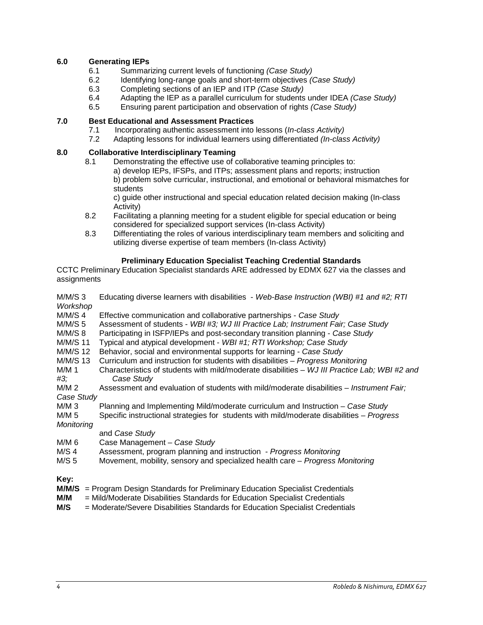## **6.0 Generating IEPs**

- 6.1 Summarizing current levels of functioning *(Case Study)*
- 6.2 Identifying long-range goals and short-term objectives *(Case Study)*
- 6.3 Completing sections of an IEP and ITP *(Case Study)*
- 6.4 Adapting the IEP as a parallel curriculum for students under IDEA *(Case Study)*
- 6.5 Ensuring parent participation and observation of rights *(Case Study)*

## **7.0 Best Educational and Assessment Practices**

- 7.1 Incorporating authentic assessment into lessons (*In-class Activity)*
- 7.2 Adapting lessons for individual learners using differentiated *(In-class Activity)*

## **8.0 Collaborative Interdisciplinary Teaming**

- 8.1 Demonstrating the effective use of collaborative teaming principles to:
	- a) develop IEPs, IFSPs, and ITPs; assessment plans and reports; instruction b) problem solve curricular, instructional, and emotional or behavioral mismatches for students

c) guide other instructional and special education related decision making (In-class Activity)

- 8.2 Facilitating a planning meeting for a student eligible for special education or being considered for specialized support services (In-class Activity)
- 8.3 Differentiating the roles of various interdisciplinary team members and soliciting and utilizing diverse expertise of team members (In-class Activity)

## **Preliminary Education Specialist Teaching Credential Standards**

<span id="page-3-0"></span>CCTC Preliminary Education Specialist standards ARE addressed by EDMX 627 via the classes and **assignments** 

|          | M/M/S 3 Educating diverse learners with disabilities - Web-Base Instruction (WBI) #1 and #2; RTI |  |
|----------|--------------------------------------------------------------------------------------------------|--|
| Workshop |                                                                                                  |  |

- M/M/S 4 Effective communication and collaborative partnerships *Case Study*
- M/M/S 5 Assessment of students *WBI #3; WJ III Practice Lab; Instrument Fair; Case Study*
- M/M/S 8 Participating in ISFP/IEPs and post-secondary transition planning *Case Study*
- Typical and atypical development WBI #1; RTI Workshop; Case Study
- M/M/S 12 Behavior, social and environmental supports for learning *Case Study*
- M/M/S 13 Curriculum and instruction for students with disabilities *Progress Monitoring*
- Characteristics of students with mild/moderate disabilities WJ III Practice Lab; WBI #2 and *#3; Case Study*
- Assessment and evaluation of students with mild/moderate disabilities *Instrument Fair:*

*Case Study* 

M/M 3 Planning and Implementing Mild/moderate curriculum and Instruction – *Case Study*

M/M 5 Specific instructional strategies for students with mild/moderate disabilities – *Progress* 

*Monitoring*

## and *Case Study*

- M/M 6 Case Management *Case Study*
- M/S 4 Assessment, program planning and instruction *Progress Monitoring*
- M/S 5 Movement, mobility, sensory and specialized health care *Progress Monitoring*

**Key:**

- **M/M/S** = Program Design Standards for Preliminary Education Specialist Credentials
- **M/M** = Mild/Moderate Disabilities Standards for Education Specialist Credentials
- <span id="page-3-1"></span> $=$  Moderate/Severe Disabilities Standards for Education Specialist Credentials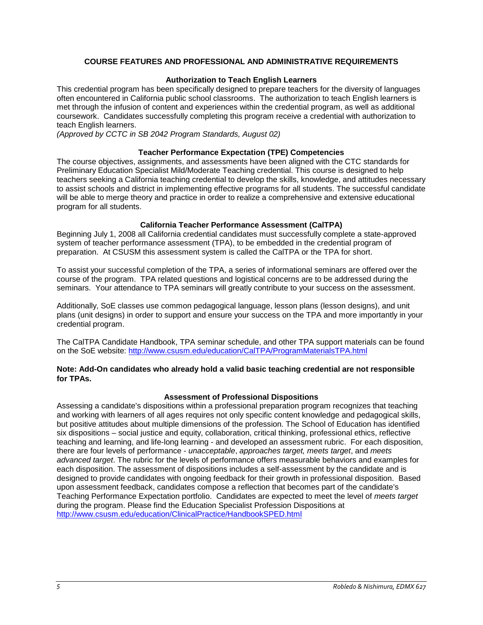## **COURSE FEATURES AND PROFESSIONAL AND ADMINISTRATIVE REQUIREMENTS**

#### **Authorization to Teach English Learners**

<span id="page-4-0"></span>This credential program has been specifically designed to prepare teachers for the diversity of languages often encountered in California public school classrooms. The authorization to teach English learners is met through the infusion of content and experiences within the credential program, as well as additional coursework. Candidates successfully completing this program receive a credential with authorization to teach English learners.

*(Approved by CCTC in SB 2042 Program Standards, August 02)*

#### **Teacher Performance Expectation (TPE) Competencies**

<span id="page-4-1"></span>The course objectives, assignments, and assessments have been aligned with the CTC standards for Preliminary Education Specialist Mild/Moderate Teaching credential. This course is designed to help teachers seeking a California teaching credential to develop the skills, knowledge, and attitudes necessary to assist schools and district in implementing effective programs for all students. The successful candidate will be able to merge theory and practice in order to realize a comprehensive and extensive educational program for all students.

#### **California Teacher Performance Assessment (CalTPA)**

<span id="page-4-2"></span>Beginning July 1, 2008 all California credential candidates must successfully complete a state-approved system of teacher performance assessment (TPA), to be embedded in the credential program of preparation. At CSUSM this assessment system is called the CalTPA or the TPA for short.

To assist your successful completion of the TPA, a series of informational seminars are offered over the course of the program. TPA related questions and logistical concerns are to be addressed during the seminars. Your attendance to TPA seminars will greatly contribute to your success on the assessment.

Additionally, SoE classes use common pedagogical language, lesson plans (lesson designs), and unit plans (unit designs) in order to support and ensure your success on the TPA and more importantly in your credential program.

The CalTPA Candidate Handbook, TPA seminar schedule, and other TPA support materials can be found on the SoE website: <http://www.csusm.edu/education/CalTPA/ProgramMaterialsTPA.html>

#### **Note: Add-On candidates who already hold a valid basic teaching credential are not responsible for TPAs.**

#### **Assessment of Professional Dispositions**

<span id="page-4-4"></span><span id="page-4-3"></span>Assessing a candidate's dispositions within a professional preparation program recognizes that teaching and working with learners of all ages requires not only specific content knowledge and pedagogical skills, but positive attitudes about multiple dimensions of the profession. The School of Education has identified six dispositions – social justice and equity, collaboration, critical thinking, professional ethics, reflective teaching and learning, and life-long learning - and developed an assessment rubric. For each disposition, there are four levels of performance - *unacceptable*, *approaches target, meets target*, and *meets advanced target*. The rubric for the levels of performance offers measurable behaviors and examples for each disposition. The assessment of dispositions includes a self-assessment by the candidate and is designed to provide candidates with ongoing feedback for their growth in professional disposition. Based upon assessment feedback, candidates compose a reflection that becomes part of the candidate's Teaching Performance Expectation portfolio. Candidates are expected to meet the level of *meets target* during the program. Please find the Education Specialist Profession Dispositions at <http://www.csusm.edu/education/ClinicalPractice/HandbookSPED.html>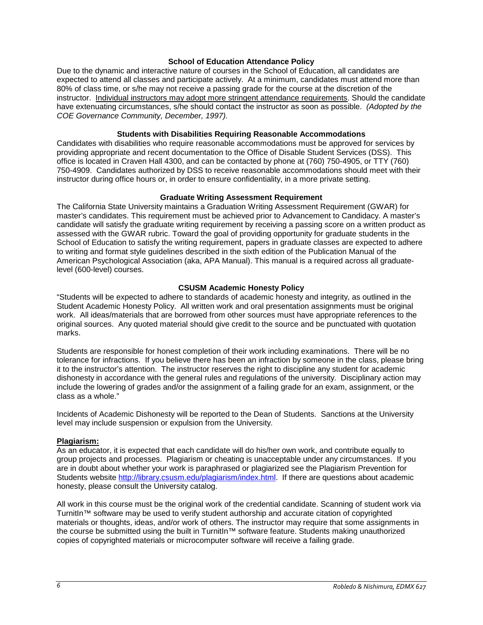#### **School of Education Attendance Policy**

Due to the dynamic and interactive nature of courses in the School of Education, all candidates are expected to attend all classes and participate actively. At a minimum, candidates must attend more than 80% of class time, or s/he may not receive a passing grade for the course at the discretion of the instructor. Individual instructors may adopt more stringent attendance requirements. Should the candidate have extenuating circumstances, s/he should contact the instructor as soon as possible. *(Adopted by the COE Governance Community, December, 1997).*

#### **Students with Disabilities Requiring Reasonable Accommodations**

<span id="page-5-0"></span>Candidates with disabilities who require reasonable accommodations must be approved for services by providing appropriate and recent documentation to the Office of Disable Student Services (DSS). This office is located in Craven Hall 4300, and can be contacted by phone at (760) 750-4905, or TTY (760) 750-4909. Candidates authorized by DSS to receive reasonable accommodations should meet with their instructor during office hours or, in order to ensure confidentiality, in a more private setting.

#### **Graduate Writing Assessment Requirement**

<span id="page-5-1"></span>The California State University maintains a Graduation Writing Assessment Requirement (GWAR) for master's candidates. This requirement must be achieved prior to Advancement to Candidacy. A master's candidate will satisfy the graduate writing requirement by receiving a passing score on a written product as assessed with the GWAR rubric. Toward the goal of providing opportunity for graduate students in the School of Education to satisfy the writing requirement, papers in graduate classes are expected to adhere to writing and format style guidelines described in the sixth edition of the Publication Manual of the American Psychological Association (aka, APA Manual). This manual is a required across all graduatelevel (600-level) courses.

#### **CSUSM Academic Honesty Policy**

<span id="page-5-2"></span>"Students will be expected to adhere to standards of academic honesty and integrity, as outlined in the Student Academic Honesty Policy. All written work and oral presentation assignments must be original work. All ideas/materials that are borrowed from other sources must have appropriate references to the original sources. Any quoted material should give credit to the source and be punctuated with quotation marks.

Students are responsible for honest completion of their work including examinations. There will be no tolerance for infractions. If you believe there has been an infraction by someone in the class, please bring it to the instructor's attention. The instructor reserves the right to discipline any student for academic dishonesty in accordance with the general rules and regulations of the university. Disciplinary action may include the lowering of grades and/or the assignment of a failing grade for an exam, assignment, or the class as a whole."

Incidents of Academic Dishonesty will be reported to the Dean of Students. Sanctions at the University level may include suspension or expulsion from the University.

#### <span id="page-5-3"></span>**Plagiarism:**

As an educator, it is expected that each candidate will do his/her own work, and contribute equally to group projects and processes. Plagiarism or cheating is unacceptable under any circumstances. If you are in doubt about whether your work is paraphrased or plagiarized see the Plagiarism Prevention for Students website [http://library.csusm.edu/plagiarism/index.html.](http://library.csusm.edu/plagiarism/index.html) If there are questions about academic honesty, please consult the University catalog.

<span id="page-5-4"></span>All work in this course must be the original work of the credential candidate. Scanning of student work via TurnitIn™ software may be used to verify student authorship and accurate citation of copyrighted materials or thoughts, ideas, and/or work of others. The instructor may require that some assignments in the course be submitted using the built in TurnitIn™ software feature. Students making unauthorized copies of copyrighted materials or microcomputer software will receive a failing grade.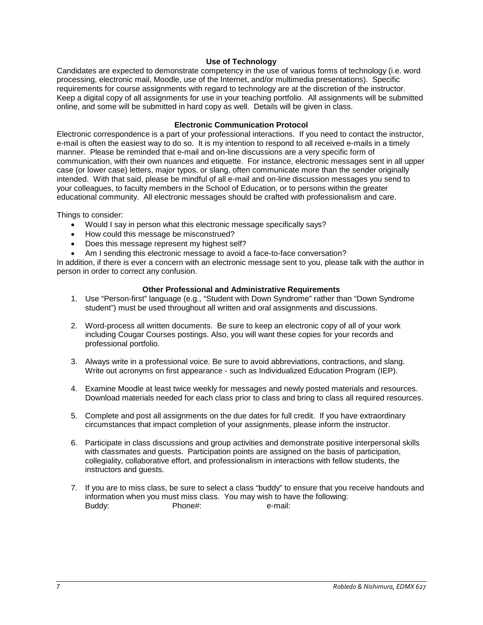#### **Use of Technology**

Candidates are expected to demonstrate competency in the use of various forms of technology (i.e. word processing, electronic mail, Moodle, use of the Internet, and/or multimedia presentations). Specific requirements for course assignments with regard to technology are at the discretion of the instructor. Keep a digital copy of all assignments for use in your teaching portfolio. All assignments will be submitted online, and some will be submitted in hard copy as well. Details will be given in class.

#### **Electronic Communication Protocol**

<span id="page-6-0"></span>Electronic correspondence is a part of your professional interactions. If you need to contact the instructor, e-mail is often the easiest way to do so. It is my intention to respond to all received e-mails in a timely manner. Please be reminded that e-mail and on-line discussions are a very specific form of communication, with their own nuances and etiquette. For instance, electronic messages sent in all upper case (or lower case) letters, major typos, or slang, often communicate more than the sender originally intended. With that said, please be mindful of all e-mail and on-line discussion messages you send to your colleagues, to faculty members in the School of Education, or to persons within the greater educational community. All electronic messages should be crafted with professionalism and care.

Things to consider:

- Would I say in person what this electronic message specifically says?
- How could this message be misconstrued?
- Does this message represent my highest self?
- Am I sending this electronic message to avoid a face-to-face conversation?

In addition, if there is ever a concern with an electronic message sent to you, please talk with the author in person in order to correct any confusion.

#### **Other Professional and Administrative Requirements**

- <span id="page-6-1"></span>1. Use "Person-first" language (e.g., "Student with Down Syndrome" rather than "Down Syndrome student") must be used throughout all written and oral assignments and discussions.
- 2. Word-process all written documents. Be sure to keep an electronic copy of all of your work including Cougar Courses postings. Also, you will want these copies for your records and professional portfolio.
- 3. Always write in a professional voice. Be sure to avoid abbreviations, contractions, and slang. Write out acronyms on first appearance - such as Individualized Education Program (IEP).
- 4. Examine Moodle at least twice weekly for messages and newly posted materials and resources. Download materials needed for each class prior to class and bring to class all required resources.
- 5. Complete and post all assignments on the due dates for full credit. If you have extraordinary circumstances that impact completion of your assignments, please inform the instructor.
- 6. Participate in class discussions and group activities and demonstrate positive interpersonal skills with classmates and guests. Participation points are assigned on the basis of participation, collegiality, collaborative effort, and professionalism in interactions with fellow students, the instructors and guests.
- 7. If you are to miss class, be sure to select a class "buddy" to ensure that you receive handouts and information when you must miss class. You may wish to have the following: Buddy: Phone#: e-mail: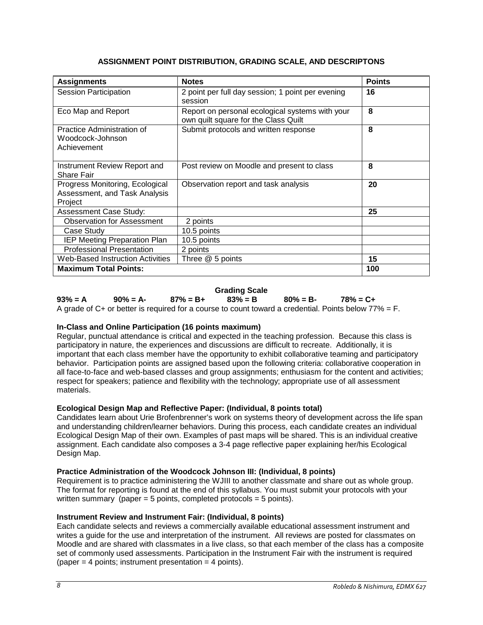## **ASSIGNMENT POINT DISTRIBUTION, GRADING SCALE, AND DESCRIPTONS**

<span id="page-7-0"></span>

| <b>Assignments</b>                                                          | <b>Notes</b>                                                                            | <b>Points</b> |
|-----------------------------------------------------------------------------|-----------------------------------------------------------------------------------------|---------------|
| <b>Session Participation</b>                                                | 2 point per full day session; 1 point per evening<br>session                            | 16            |
| Eco Map and Report                                                          | Report on personal ecological systems with your<br>own quilt square for the Class Quilt | 8             |
| Practice Administration of<br>Woodcock-Johnson<br>Achievement               | Submit protocols and written response                                                   | 8             |
| Instrument Review Report and<br>Share Fair                                  | Post review on Moodle and present to class                                              | 8             |
| Progress Monitoring, Ecological<br>Assessment, and Task Analysis<br>Project | Observation report and task analysis                                                    | 20            |
| <b>Assessment Case Study:</b>                                               |                                                                                         | 25            |
| <b>Observation for Assessment</b>                                           | 2 points                                                                                |               |
| Case Study                                                                  | 10.5 points                                                                             |               |
| IEP Meeting Preparation Plan                                                | 10.5 points                                                                             |               |
| <b>Professional Presentation</b>                                            | 2 points                                                                                |               |
| <b>Web-Based Instruction Activities</b>                                     | Three @ 5 points                                                                        | 15            |
| <b>Maximum Total Points:</b>                                                |                                                                                         | 100           |

# **Grading Scale**

<span id="page-7-1"></span>**93% = A 90% = A- 87% = B+ 83% = B 80% = B- 78% = C+** A grade of  $C_{+}$  or better is required for a course to count toward a credential. Points below 77% = F.

## **In-Class and Online Participation (16 points maximum)**

Regular, punctual attendance is critical and expected in the teaching profession. Because this class is participatory in nature, the experiences and discussions are difficult to recreate. Additionally, it is important that each class member have the opportunity to exhibit collaborative teaming and participatory behavior. Participation points are assigned based upon the following criteria: collaborative cooperation in all face-to-face and web-based classes and group assignments; enthusiasm for the content and activities; respect for speakers; patience and flexibility with the technology; appropriate use of all assessment materials.

## **Ecological Design Map and Reflective Paper: (Individual, 8 points total)**

Candidates learn about Urie Brofenbrenner's work on systems theory of development across the life span and understanding children/learner behaviors. During this process, each candidate creates an individual Ecological Design Map of their own. Examples of past maps will be shared. This is an individual creative assignment. Each candidate also composes a 3-4 page reflective paper explaining her/his Ecological Design Map.

## **Practice Administration of the Woodcock Johnson III: (Individual, 8 points)**

Requirement is to practice administering the WJIII to another classmate and share out as whole group. The format for reporting is found at the end of this syllabus. You must submit your protocols with your written summary (paper  $= 5$  points, completed protocols  $= 5$  points).

## **Instrument Review and Instrument Fair: (Individual, 8 points)**

Each candidate selects and reviews a commercially available educational assessment instrument and writes a guide for the use and interpretation of the instrument. All reviews are posted for classmates on Moodle and are shared with classmates in a live class, so that each member of the class has a composite set of commonly used assessments. Participation in the Instrument Fair with the instrument is required  $(paper = 4 points; instrument presentation = 4 points).$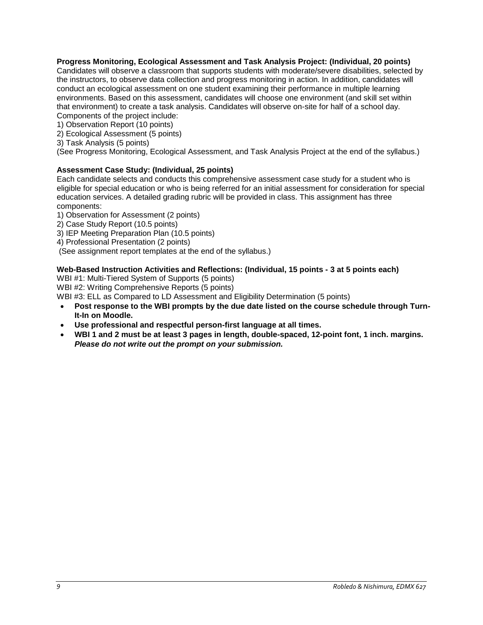## **Progress Monitoring, Ecological Assessment and Task Analysis Project: (Individual, 20 points)**

Candidates will observe a classroom that supports students with moderate/severe disabilities, selected by the instructors, to observe data collection and progress monitoring in action. In addition, candidates will conduct an ecological assessment on one student examining their performance in multiple learning environments. Based on this assessment, candidates will choose one environment (and skill set within that environment) to create a task analysis. Candidates will observe on-site for half of a school day. Components of the project include:

1) Observation Report (10 points)

- 2) Ecological Assessment (5 points)
- 3) Task Analysis (5 points)

(See Progress Monitoring, Ecological Assessment, and Task Analysis Project at the end of the syllabus.)

## **Assessment Case Study: (Individual, 25 points)**

Each candidate selects and conducts this comprehensive assessment case study for a student who is eligible for special education or who is being referred for an initial assessment for consideration for special education services. A detailed grading rubric will be provided in class. This assignment has three components:

- 1) Observation for Assessment (2 points)
- 2) Case Study Report (10.5 points)
- 3) IEP Meeting Preparation Plan (10.5 points)
- 4) Professional Presentation (2 points)

(See assignment report templates at the end of the syllabus.)

#### **Web-Based Instruction Activities and Reflections: (Individual, 15 points - 3 at 5 points each)**

WBI #1: Multi-Tiered System of Supports (5 points)

WBI #2: Writing Comprehensive Reports (5 points)

WBI #3: ELL as Compared to LD Assessment and Eligibility Determination (5 points)

- **Post response to the WBI prompts by the due date listed on the course schedule through Turn-It-In on Moodle.**
- **Use professional and respectful person-first language at all times.**
- <span id="page-8-0"></span>• **WBI 1 and 2 must be at least 3 pages in length, double-spaced, 12-point font, 1 inch. margins.**  *Please do not write out the prompt on your submission.*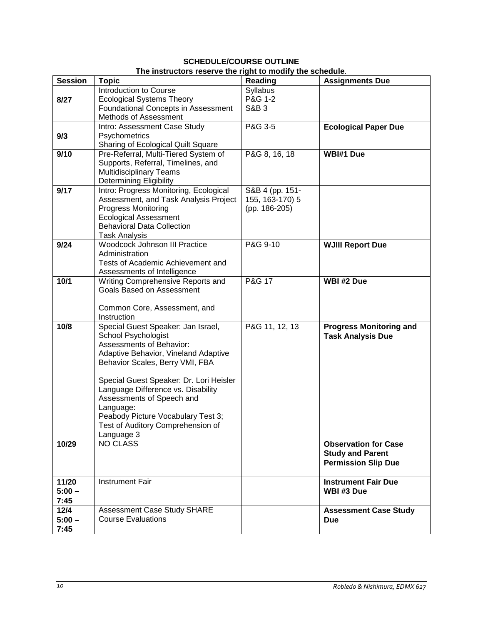## **SCHEDULE/COURSE OUTLINE The instructors reserve the right to modify the schedule**.

| <b>Session</b> | no manuelors reserve the right to mouny the sencutive.<br><b>Topic</b> | <b>Reading</b>  | <b>Assignments Due</b>         |
|----------------|------------------------------------------------------------------------|-----------------|--------------------------------|
|                | Introduction to Course                                                 | Syllabus        |                                |
|                |                                                                        | P&G 1-2         |                                |
| 8/27           | <b>Ecological Systems Theory</b>                                       |                 |                                |
|                | <b>Foundational Concepts in Assessment</b>                             | <b>S&amp;B3</b> |                                |
|                | Methods of Assessment                                                  |                 |                                |
|                | Intro: Assessment Case Study                                           | P&G 3-5         | <b>Ecological Paper Due</b>    |
| 9/3            | Psychometrics                                                          |                 |                                |
|                | Sharing of Ecological Quilt Square                                     |                 |                                |
| 9/10           | Pre-Referral, Multi-Tiered System of                                   | P&G 8, 16, 18   | WBI#1 Due                      |
|                | Supports, Referral, Timelines, and                                     |                 |                                |
|                | <b>Multidisciplinary Teams</b>                                         |                 |                                |
|                | <b>Determining Eligibility</b>                                         |                 |                                |
| 9/17           | Intro: Progress Monitoring, Ecological                                 | S&B 4 (pp. 151- |                                |
|                | Assessment, and Task Analysis Project                                  | 155, 163-170) 5 |                                |
|                | <b>Progress Monitoring</b>                                             | (pp. 186-205)   |                                |
|                | <b>Ecological Assessment</b>                                           |                 |                                |
|                | <b>Behavioral Data Collection</b>                                      |                 |                                |
|                | <b>Task Analysis</b>                                                   |                 |                                |
| 9/24           | <b>Woodcock Johnson III Practice</b>                                   | P&G 9-10        | <b>WJIII Report Due</b>        |
|                | Administration                                                         |                 |                                |
|                | Tests of Academic Achievement and                                      |                 |                                |
|                | Assessments of Intelligence                                            |                 |                                |
| 10/1           | Writing Comprehensive Reports and                                      | P&G 17          | WBI #2 Due                     |
|                | <b>Goals Based on Assessment</b>                                       |                 |                                |
|                |                                                                        |                 |                                |
|                | Common Core, Assessment, and                                           |                 |                                |
|                | Instruction                                                            |                 |                                |
| 10/8           | Special Guest Speaker: Jan Israel,                                     | P&G 11, 12, 13  | <b>Progress Monitoring and</b> |
|                | School Psychologist                                                    |                 | <b>Task Analysis Due</b>       |
|                | Assessments of Behavior:                                               |                 |                                |
|                | Adaptive Behavior, Vineland Adaptive                                   |                 |                                |
|                | Behavior Scales, Berry VMI, FBA                                        |                 |                                |
|                |                                                                        |                 |                                |
|                | Special Guest Speaker: Dr. Lori Heisler                                |                 |                                |
|                | Language Difference vs. Disability                                     |                 |                                |
|                | Assessments of Speech and                                              |                 |                                |
|                | Language:                                                              |                 |                                |
|                | Peabody Picture Vocabulary Test 3;                                     |                 |                                |
|                | Test of Auditory Comprehension of                                      |                 |                                |
|                | Language 3                                                             |                 |                                |
| 10/29          | <b>NO CLASS</b>                                                        |                 | <b>Observation for Case</b>    |
|                |                                                                        |                 | <b>Study and Parent</b>        |
|                |                                                                        |                 | <b>Permission Slip Due</b>     |
|                |                                                                        |                 |                                |
| 11/20          | <b>Instrument Fair</b>                                                 |                 | <b>Instrument Fair Due</b>     |
| $5:00 -$       |                                                                        |                 | WBI #3 Due                     |
| 7:45           |                                                                        |                 |                                |
| $12/4$         | Assessment Case Study SHARE                                            |                 | <b>Assessment Case Study</b>   |
| $5:00 -$       | <b>Course Evaluations</b>                                              |                 | <b>Due</b>                     |
| 7:45           |                                                                        |                 |                                |
|                |                                                                        |                 |                                |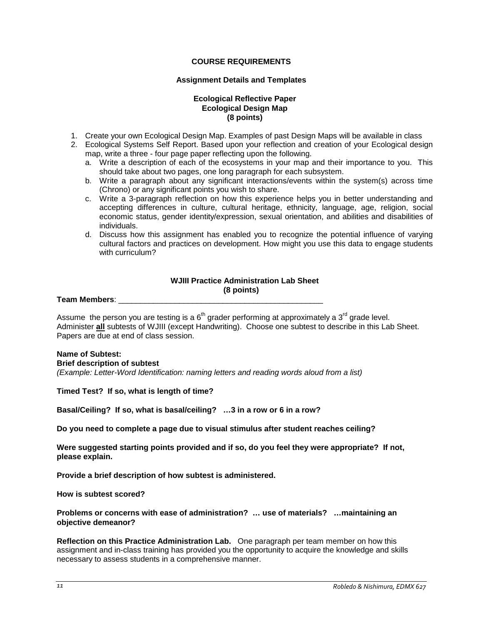#### **COURSE REQUIREMENTS**

#### **Assignment Details and Templates**

## **Ecological Reflective Paper Ecological Design Map (8 points)**

- <span id="page-10-1"></span><span id="page-10-0"></span>1. Create your own Ecological Design Map. Examples of past Design Maps will be available in class
- 2. Ecological Systems Self Report. Based upon your reflection and creation of your Ecological design map, write a three - four page paper reflecting upon the following.
	- a. Write a description of each of the ecosystems in your map and their importance to you. This should take about two pages, one long paragraph for each subsystem.
	- b. Write a paragraph about any significant interactions/events within the system(s) across time (Chrono) or any significant points you wish to share.
	- c. Write a 3-paragraph reflection on how this experience helps you in better understanding and accepting differences in culture, cultural heritage, ethnicity, language, age, religion, social economic status, gender identity/expression, sexual orientation, and abilities and disabilities of individuals.
	- d. Discuss how this assignment has enabled you to recognize the potential influence of varying cultural factors and practices on development. How might you use this data to engage students with curriculum?

## **WJIII Practice Administration Lab Sheet (8 points)**

**Team Members**: \_\_\_\_\_\_\_\_\_\_\_\_\_\_\_\_\_\_\_\_\_\_\_\_\_\_\_\_\_\_\_\_\_\_\_\_\_\_\_\_\_\_\_\_\_\_\_

Assume the person you are testing is a  $6<sup>th</sup>$  grader performing at approximately a 3<sup>rd</sup> grade level. Administer **all** subtests of WJIII (except Handwriting). Choose one subtest to describe in this Lab Sheet. Papers are due at end of class session.

#### **Name of Subtest:**

**Brief description of subtest** 

*(Example: Letter-Word Identification: naming letters and reading words aloud from a list)*

**Timed Test? If so, what is length of time?**

**Basal/Ceiling? If so, what is basal/ceiling? …3 in a row or 6 in a row?** 

**Do you need to complete a page due to visual stimulus after student reaches ceiling?** 

**Were suggested starting points provided and if so, do you feel they were appropriate? If not, please explain.**

**Provide a brief description of how subtest is administered.**

**How is subtest scored?**

**Problems or concerns with ease of administration? … use of materials? …maintaining an objective demeanor?**

**Reflection on this Practice Administration Lab.** One paragraph per team member on how this assignment and in-class training has provided you the opportunity to acquire the knowledge and skills necessary to assess students in a comprehensive manner.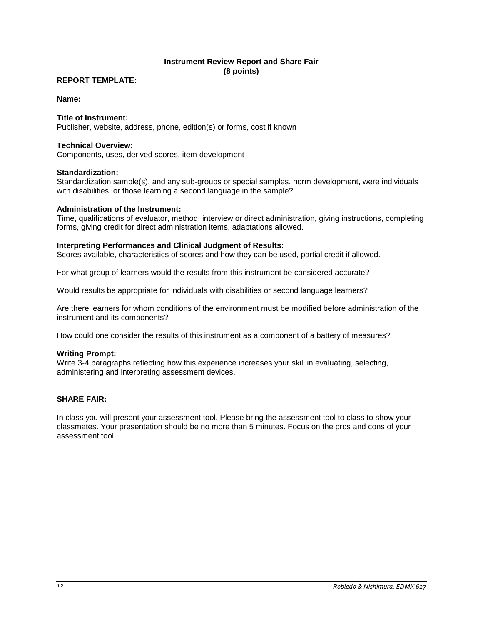## **Instrument Review Report and Share Fair (8 points)**

### **REPORT TEMPLATE:**

#### **Name:**

#### **Title of Instrument:**

Publisher, website, address, phone, edition(s) or forms, cost if known

#### **Technical Overview:**

Components, uses, derived scores, item development

#### **Standardization:**

Standardization sample(s), and any sub-groups or special samples, norm development, were individuals with disabilities, or those learning a second language in the sample?

#### **Administration of the Instrument:**

Time, qualifications of evaluator, method: interview or direct administration, giving instructions, completing forms, giving credit for direct administration items, adaptations allowed.

#### **Interpreting Performances and Clinical Judgment of Results:**

Scores available, characteristics of scores and how they can be used, partial credit if allowed.

For what group of learners would the results from this instrument be considered accurate?

Would results be appropriate for individuals with disabilities or second language learners?

Are there learners for whom conditions of the environment must be modified before administration of the instrument and its components?

How could one consider the results of this instrument as a component of a battery of measures?

#### **Writing Prompt:**

Write 3-4 paragraphs reflecting how this experience increases your skill in evaluating, selecting, administering and interpreting assessment devices.

## **SHARE FAIR:**

In class you will present your assessment tool. Please bring the assessment tool to class to show your classmates. Your presentation should be no more than 5 minutes. Focus on the pros and cons of your assessment tool.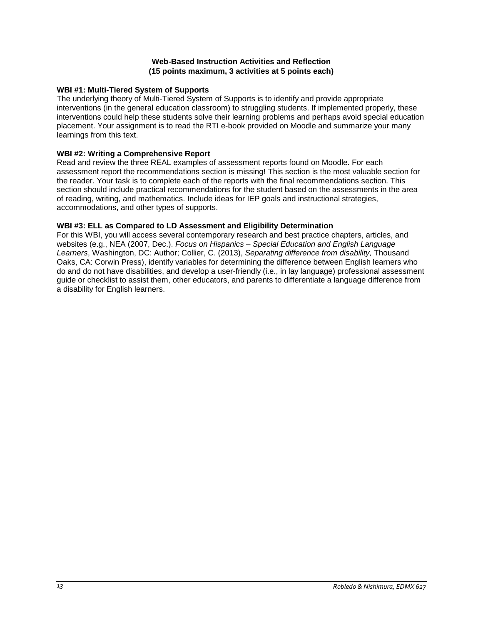### **Web-Based Instruction Activities and Reflection (15 points maximum, 3 activities at 5 points each)**

## **WBI #1: Multi-Tiered System of Supports**

The underlying theory of Multi-Tiered System of Supports is to identify and provide appropriate interventions (in the general education classroom) to struggling students. If implemented properly, these interventions could help these students solve their learning problems and perhaps avoid special education placement. Your assignment is to read the RTI e-book provided on Moodle and summarize your many learnings from this text.

## **WBI #2: Writing a Comprehensive Report**

Read and review the three REAL examples of assessment reports found on Moodle. For each assessment report the recommendations section is missing! This section is the most valuable section for the reader. Your task is to complete each of the reports with the final recommendations section. This section should include practical recommendations for the student based on the assessments in the area of reading, writing, and mathematics. Include ideas for IEP goals and instructional strategies, accommodations, and other types of supports.

## **WBI #3: ELL as Compared to LD Assessment and Eligibility Determination**

For this WBI, you will access several contemporary research and best practice chapters, articles, and websites (e.g., NEA (2007, Dec.). *Focus on Hispanics – Special Education and English Language Learners*, Washington, DC: Author; Collier, C. (2013), *Separating difference from disability,* Thousand Oaks, CA: Corwin Press), identify variables for determining the difference between English learners who do and do not have disabilities, and develop a user-friendly (i.e., in lay language) professional assessment guide or checklist to assist them, other educators, and parents to differentiate a language difference from a disability for English learners.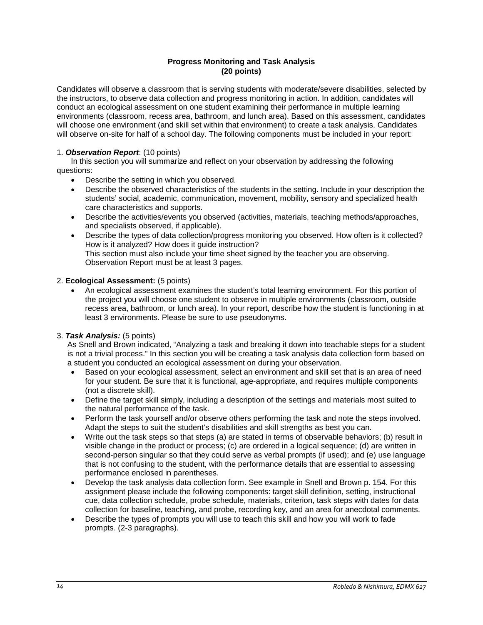## **Progress Monitoring and Task Analysis (20 points)**

Candidates will observe a classroom that is serving students with moderate/severe disabilities, selected by the instructors, to observe data collection and progress monitoring in action. In addition, candidates will conduct an ecological assessment on one student examining their performance in multiple learning environments (classroom, recess area, bathroom, and lunch area). Based on this assessment, candidates will choose one environment (and skill set within that environment) to create a task analysis. Candidates will observe on-site for half of a school day. The following components must be included in your report:

## 1. *Observation Report*: (10 points)

In this section you will summarize and reflect on your observation by addressing the following questions:

- Describe the setting in which you observed.
- Describe the observed characteristics of the students in the setting. Include in your description the students' social, academic, communication, movement, mobility, sensory and specialized health care characteristics and supports.
- Describe the activities/events you observed (activities, materials, teaching methods/approaches, and specialists observed, if applicable).
- Describe the types of data collection/progress monitoring you observed. How often is it collected? How is it analyzed? How does it guide instruction? This section must also include your time sheet signed by the teacher you are observing. Observation Report must be at least 3 pages.

## 2. **Ecological Assessment:** (5 points)

• An ecological assessment examines the student's total learning environment. For this portion of the project you will choose one student to observe in multiple environments (classroom, outside recess area, bathroom, or lunch area). In your report, describe how the student is functioning in at least 3 environments. Please be sure to use pseudonyms.

## 3. *Task Analysis:* (5 points)

As Snell and Brown indicated, "Analyzing a task and breaking it down into teachable steps for a student is not a trivial process." In this section you will be creating a task analysis data collection form based on a student you conducted an ecological assessment on during your observation.

- Based on your ecological assessment, select an environment and skill set that is an area of need for your student. Be sure that it is functional, age-appropriate, and requires multiple components (not a discrete skill).
- Define the target skill simply, including a description of the settings and materials most suited to the natural performance of the task.
- Perform the task yourself and/or observe others performing the task and note the steps involved. Adapt the steps to suit the student's disabilities and skill strengths as best you can.
- Write out the task steps so that steps (a) are stated in terms of observable behaviors; (b) result in visible change in the product or process; (c) are ordered in a logical sequence; (d) are written in second-person singular so that they could serve as verbal prompts (if used); and (e) use language that is not confusing to the student, with the performance details that are essential to assessing performance enclosed in parentheses.
- Develop the task analysis data collection form. See example in Snell and Brown p. 154. For this assignment please include the following components: target skill definition, setting, instructional cue, data collection schedule, probe schedule, materials, criterion, task steps with dates for data collection for baseline, teaching, and probe, recording key, and an area for anecdotal comments.
- Describe the types of prompts you will use to teach this skill and how you will work to fade prompts. (2-3 paragraphs).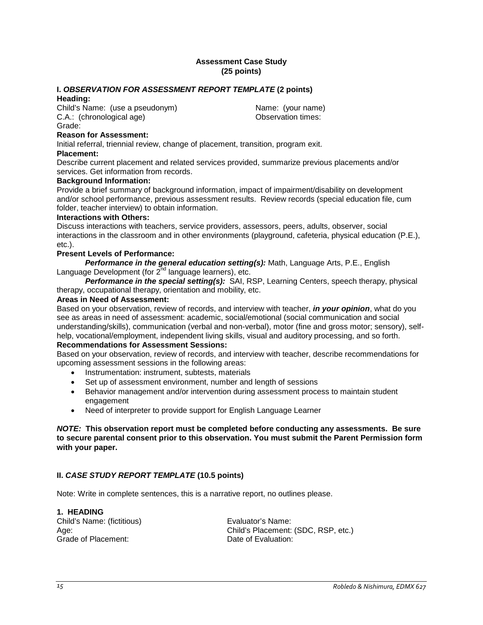### **Assessment Case Study (25 points)**

## **I.** *OBSERVATION FOR ASSESSMENT REPORT TEMPLATE* **(2 points)**

#### **Heading:**

Child's Name: (use a pseudonym) (Child's Name: (your name)<br>C.A.: (chronological age) (C.A.: (chronological age) C.A.: (chronological age) Grade:

## **Reason for Assessment:**

Initial referral, triennial review, change of placement, transition, program exit.

## **Placement:**

Describe current placement and related services provided, summarize previous placements and/or services. Get information from records.

#### **Background Information:**

Provide a brief summary of background information, impact of impairment/disability on development and/or school performance, previous assessment results. Review records (special education file, cum folder, teacher interview) to obtain information.

#### **Interactions with Others:**

Discuss interactions with teachers, service providers, assessors, peers, adults, observer, social interactions in the classroom and in other environments (playground, cafeteria, physical education (P.E.), etc.).

#### **Present Levels of Performance:**

*Performance in the general education setting(s):* Math, Language Arts, P.E., English Language Development (for 2<sup>nd</sup> language learners), etc.

*Performance in the special setting(s):* SAI, RSP, Learning Centers, speech therapy, physical therapy, occupational therapy, orientation and mobility, etc.

## **Areas in Need of Assessment:**

Based on your observation, review of records, and interview with teacher, *in your opinion*, what do you see as areas in need of assessment: academic, social/emotional (social communication and social understanding/skills), communication (verbal and non-verbal), motor (fine and gross motor; sensory), selfhelp, vocational/employment, independent living skills, visual and auditory processing, and so forth. **Recommendations for Assessment Sessions:**

Based on your observation, review of records, and interview with teacher, describe recommendations for upcoming assessment sessions in the following areas:

- Instrumentation: instrument, subtests, materials
- Set up of assessment environment, number and length of sessions
- Behavior management and/or intervention during assessment process to maintain student engagement
- Need of interpreter to provide support for English Language Learner

### *NOTE:* **This observation report must be completed before conducting any assessments. Be sure to secure parental consent prior to this observation. You must submit the Parent Permission form with your paper.**

## **II.** *CASE STUDY REPORT TEMPLATE* **(10.5 points)**

Note: Write in complete sentences, this is a narrative report, no outlines please.

# **1. HEADING**

Child's Name: (fictitious) Evaluator's Name: Grade of Placement: Case Controller Controller Date of Evaluation:

Age: Child's Placement: (SDC, RSP, etc.)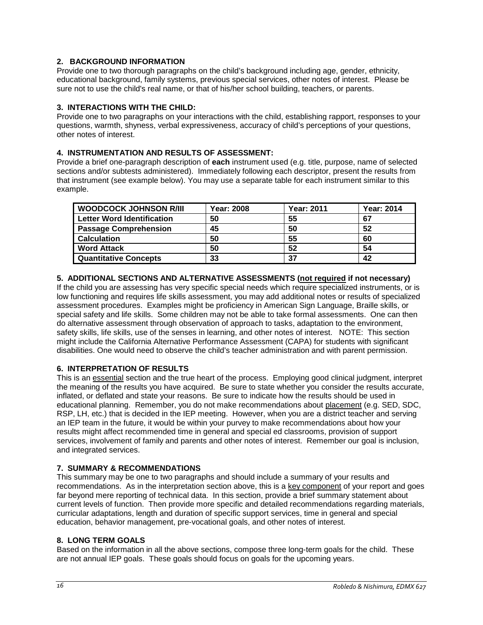## **2. BACKGROUND INFORMATION**

Provide one to two thorough paragraphs on the child's background including age, gender, ethnicity, educational background, family systems, previous special services, other notes of interest. Please be sure not to use the child's real name, or that of his/her school building, teachers, or parents.

## **3. INTERACTIONS WITH THE CHILD:**

Provide one to two paragraphs on your interactions with the child, establishing rapport, responses to your questions, warmth, shyness, verbal expressiveness, accuracy of child's perceptions of your questions, other notes of interest.

## **4. INSTRUMENTATION AND RESULTS OF ASSESSMENT:**

Provide a brief one-paragraph description of **each** instrument used (e.g. title, purpose, name of selected sections and/or subtests administered). Immediately following each descriptor, present the results from that instrument (see example below). You may use a separate table for each instrument similar to this example.

| <b>WOODCOCK JOHNSON R/III</b>     | <b>Year: 2008</b> | <b>Year: 2011</b> | <b>Year: 2014</b> |
|-----------------------------------|-------------------|-------------------|-------------------|
| <b>Letter Word Identification</b> | 50                | 55                | 67                |
| <b>Passage Comprehension</b>      | 45                | 50                | 52                |
| <b>Calculation</b>                | 50                | 55                | 60                |
| <b>Word Attack</b>                | 50                | 52                | 54                |
| <b>Quantitative Concepts</b>      | 33                | 37                | 42                |

## **5. ADDITIONAL SECTIONS AND ALTERNATIVE ASSESSMENTS (not required if not necessary)**

If the child you are assessing has very specific special needs which require specialized instruments, or is low functioning and requires life skills assessment, you may add additional notes or results of specialized assessment procedures. Examples might be proficiency in American Sign Language, Braille skills, or special safety and life skills. Some children may not be able to take formal assessments. One can then do alternative assessment through observation of approach to tasks, adaptation to the environment, safety skills, life skills, use of the senses in learning, and other notes of interest. NOTE: This section might include the California Alternative Performance Assessment (CAPA) for students with significant disabilities. One would need to observe the child's teacher administration and with parent permission.

## **6. INTERPRETATION OF RESULTS**

This is an essential section and the true heart of the process. Employing good clinical judgment, interpret the meaning of the results you have acquired. Be sure to state whether you consider the results accurate, inflated, or deflated and state your reasons. Be sure to indicate how the results should be used in educational planning. Remember, you do not make recommendations about placement (e.g. SED, SDC, RSP, LH, etc.) that is decided in the IEP meeting. However, when you are a district teacher and serving an IEP team in the future, it would be within your purvey to make recommendations about how your results might affect recommended time in general and special ed classrooms, provision of support services, involvement of family and parents and other notes of interest. Remember our goal is inclusion, and integrated services.

## **7. SUMMARY & RECOMMENDATIONS**

This summary may be one to two paragraphs and should include a summary of your results and recommendations. As in the interpretation section above, this is a key component of your report and goes far beyond mere reporting of technical data. In this section, provide a brief summary statement about current levels of function. Then provide more specific and detailed recommendations regarding materials, curricular adaptations, length and duration of specific support services, time in general and special education, behavior management, pre-vocational goals, and other notes of interest.

## **8. LONG TERM GOALS**

Based on the information in all the above sections, compose three long-term goals for the child. These are not annual IEP goals. These goals should focus on goals for the upcoming years.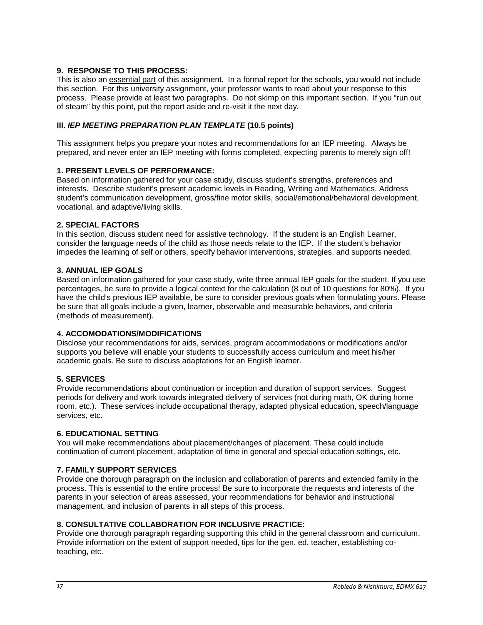## **9. RESPONSE TO THIS PROCESS:**

This is also an essential part of this assignment. In a formal report for the schools, you would not include this section. For this university assignment, your professor wants to read about your response to this process. Please provide at least two paragraphs. Do not skimp on this important section. If you "run out of steam" by this point, put the report aside and re-visit it the next day.

## **III.** *IEP MEETING PREPARATION PLAN TEMPLATE* **(10.5 points)**

This assignment helps you prepare your notes and recommendations for an IEP meeting. Always be prepared, and never enter an IEP meeting with forms completed, expecting parents to merely sign off!

## **1. PRESENT LEVELS OF PERFORMANCE:**

Based on information gathered for your case study, discuss student's strengths, preferences and interests. Describe student's present academic levels in Reading, Writing and Mathematics. Address student's communication development, gross/fine motor skills, social/emotional/behavioral development, vocational, and adaptive/living skills.

## **2. SPECIAL FACTORS**

In this section, discuss student need for assistive technology. If the student is an English Learner, consider the language needs of the child as those needs relate to the IEP. If the student's behavior impedes the learning of self or others, specify behavior interventions, strategies, and supports needed.

## **3. ANNUAL IEP GOALS**

Based on information gathered for your case study, write three annual IEP goals for the student. If you use percentages, be sure to provide a logical context for the calculation (8 out of 10 questions for 80%). If you have the child's previous IEP available, be sure to consider previous goals when formulating yours. Please be sure that all goals include a given, learner, observable and measurable behaviors, and criteria (methods of measurement).

## **4. ACCOMODATIONS/MODIFICATIONS**

Disclose your recommendations for aids, services, program accommodations or modifications and/or supports you believe will enable your students to successfully access curriculum and meet his/her academic goals. Be sure to discuss adaptations for an English learner.

# **5. SERVICES**

Provide recommendations about continuation or inception and duration of support services. Suggest periods for delivery and work towards integrated delivery of services (not during math, OK during home room, etc.). These services include occupational therapy, adapted physical education, speech/language services, etc.

## **6. EDUCATIONAL SETTING**

You will make recommendations about placement/changes of placement. These could include continuation of current placement, adaptation of time in general and special education settings, etc.

# **7. FAMILY SUPPORT SERVICES**

Provide one thorough paragraph on the inclusion and collaboration of parents and extended family in the process. This is essential to the entire process! Be sure to incorporate the requests and interests of the parents in your selection of areas assessed, your recommendations for behavior and instructional management, and inclusion of parents in all steps of this process.

## **8. CONSULTATIVE COLLABORATION FOR INCLUSIVE PRACTICE:**

Provide one thorough paragraph regarding supporting this child in the general classroom and curriculum. Provide information on the extent of support needed, tips for the gen. ed. teacher, establishing coteaching, etc.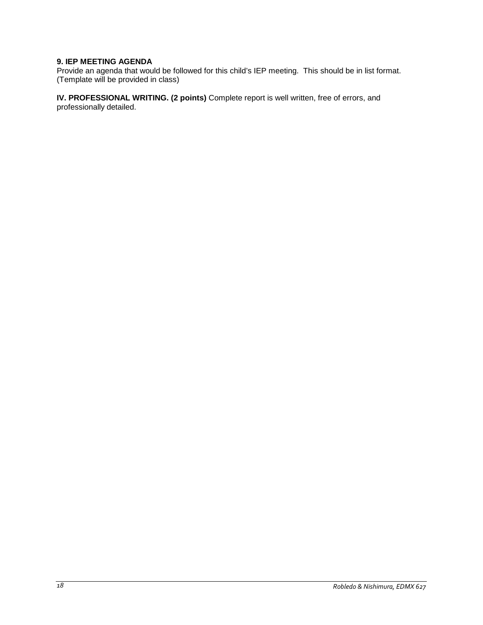## **9. IEP MEETING AGENDA**

Provide an agenda that would be followed for this child's IEP meeting. This should be in list format. (Template will be provided in class)

**IV. PROFESSIONAL WRITING. (2 points)** Complete report is well written, free of errors, and professionally detailed.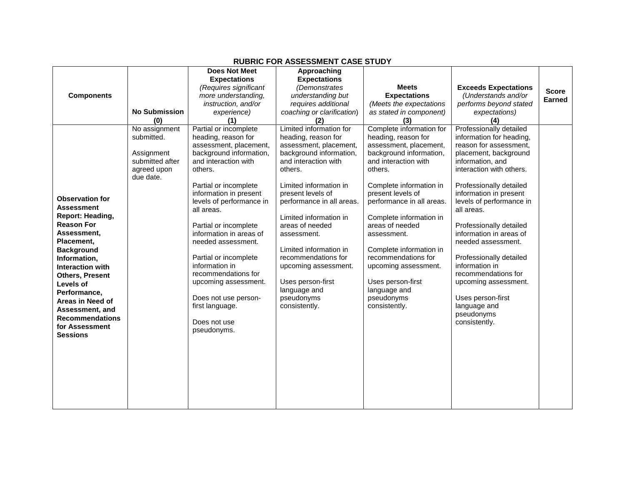<span id="page-18-0"></span>

|                        |                      | <b>Does Not Meet</b>                               | Approaching                |                           |                                                    |               |
|------------------------|----------------------|----------------------------------------------------|----------------------------|---------------------------|----------------------------------------------------|---------------|
|                        |                      | <b>Expectations</b>                                | <b>Expectations</b>        |                           |                                                    |               |
|                        |                      | (Requires significant                              | (Demonstrates              | <b>Meets</b>              | <b>Exceeds Expectations</b>                        | <b>Score</b>  |
| <b>Components</b>      |                      | more understanding,                                | understanding but          | <b>Expectations</b>       | (Understands and/or                                | <b>Earned</b> |
|                        |                      | instruction, and/or                                | requires additional        | (Meets the expectations   | performs beyond stated                             |               |
|                        | <b>No Submission</b> | experience)                                        | coaching or clarification) | as stated in component)   | expectations)                                      |               |
|                        | (0)                  | (1)                                                | (2)                        | (3)                       | (4)                                                |               |
|                        | No assignment        | Partial or incomplete                              | Limited information for    | Complete information for  | Professionally detailed                            |               |
|                        | submitted.           | heading, reason for                                | heading, reason for        | heading, reason for       | information for heading,                           |               |
|                        |                      | assessment, placement,                             | assessment, placement,     | assessment, placement,    | reason for assessment,                             |               |
|                        | Assignment           | background information,                            | background information,    | background information,   | placement, background                              |               |
|                        | submitted after      | and interaction with                               | and interaction with       | and interaction with      | information, and                                   |               |
|                        | agreed upon          | others.                                            | others.                    | others.                   | interaction with others.                           |               |
|                        | due date.            |                                                    |                            |                           |                                                    |               |
|                        |                      | Partial or incomplete                              | Limited information in     | Complete information in   | Professionally detailed                            |               |
| <b>Observation for</b> |                      | information in present<br>levels of performance in | present levels of          | present levels of         | information in present<br>levels of performance in |               |
| <b>Assessment</b>      |                      | all areas.                                         | performance in all areas.  | performance in all areas. | all areas.                                         |               |
| Report: Heading,       |                      |                                                    | Limited information in     | Complete information in   |                                                    |               |
| <b>Reason For</b>      |                      | Partial or incomplete                              | areas of needed            | areas of needed           | Professionally detailed                            |               |
| Assessment,            |                      | information in areas of                            | assessment.                | assessment.               | information in areas of                            |               |
| Placement,             |                      | needed assessment.                                 |                            |                           | needed assessment.                                 |               |
| <b>Background</b>      |                      |                                                    | Limited information in     | Complete information in   |                                                    |               |
| Information,           |                      | Partial or incomplete                              | recommendations for        | recommendations for       | Professionally detailed                            |               |
| Interaction with       |                      | information in                                     | upcoming assessment.       | upcoming assessment.      | information in                                     |               |
| <b>Others, Present</b> |                      | recommendations for                                |                            |                           | recommendations for                                |               |
| Levels of              |                      | upcoming assessment.                               | Uses person-first          | Uses person-first         | upcoming assessment.                               |               |
| Performance,           |                      |                                                    | language and               | language and              |                                                    |               |
| Areas in Need of       |                      | Does not use person-                               | pseudonyms                 | pseudonyms                | Uses person-first                                  |               |
| Assessment, and        |                      | first language.                                    | consistently.              | consistently.             | language and                                       |               |
| <b>Recommendations</b> |                      |                                                    |                            |                           | pseudonyms                                         |               |
| for Assessment         |                      | Does not use                                       |                            |                           | consistently.                                      |               |
| <b>Sessions</b>        |                      | pseudonyms.                                        |                            |                           |                                                    |               |
|                        |                      |                                                    |                            |                           |                                                    |               |
|                        |                      |                                                    |                            |                           |                                                    |               |
|                        |                      |                                                    |                            |                           |                                                    |               |
|                        |                      |                                                    |                            |                           |                                                    |               |
|                        |                      |                                                    |                            |                           |                                                    |               |
|                        |                      |                                                    |                            |                           |                                                    |               |
|                        |                      |                                                    |                            |                           |                                                    |               |
|                        |                      |                                                    |                            |                           |                                                    |               |
|                        |                      |                                                    |                            |                           |                                                    |               |

# **RUBRIC FOR ASSESSMENT CASE STUDY**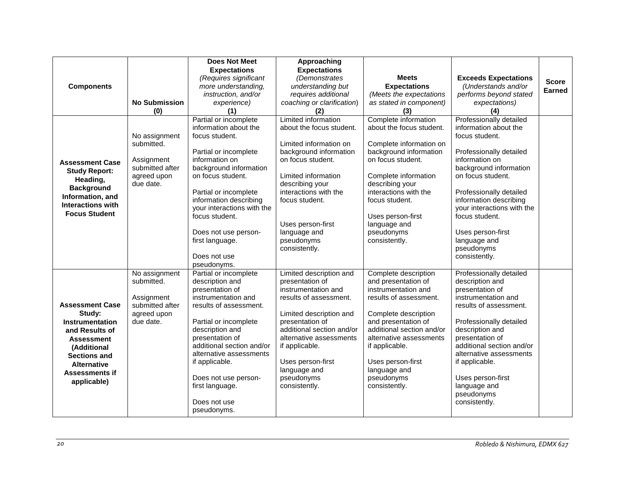|                          |                             | <b>Does Not Meet</b>                                 | Approaching                                   |                                               |                                                      |               |
|--------------------------|-----------------------------|------------------------------------------------------|-----------------------------------------------|-----------------------------------------------|------------------------------------------------------|---------------|
|                          |                             | <b>Expectations</b>                                  | <b>Expectations</b>                           |                                               |                                                      |               |
|                          |                             | (Requires significant                                | (Demonstrates                                 | <b>Meets</b>                                  | <b>Exceeds Expectations</b>                          | <b>Score</b>  |
| <b>Components</b>        |                             | more understanding,                                  | understanding but                             | <b>Expectations</b>                           | (Understands and/or                                  | <b>Earned</b> |
|                          |                             | instruction, and/or                                  | requires additional                           | (Meets the expectations                       | performs beyond stated                               |               |
|                          | <b>No Submission</b><br>(0) | experience)<br>(1)                                   | coaching or clarification)<br>(2)             | as stated in component)<br>(3)                | expectations)                                        |               |
|                          |                             | Partial or incomplete                                | Limited information                           | Complete information                          | (4)<br>Professionally detailed                       |               |
|                          |                             | information about the                                | about the focus student.                      | about the focus student.                      | information about the                                |               |
|                          | No assignment               | focus student.                                       |                                               |                                               | focus student.                                       |               |
|                          | submitted.                  |                                                      | Limited information on                        | Complete information on                       |                                                      |               |
|                          |                             | Partial or incomplete                                | background information                        | background information                        | Professionally detailed                              |               |
| <b>Assessment Case</b>   | Assignment                  | information on                                       | on focus student.                             | on focus student.                             | information on                                       |               |
| <b>Study Report:</b>     | submitted after             | background information                               |                                               |                                               | background information                               |               |
| Heading,                 | agreed upon                 | on focus student.                                    | Limited information                           | Complete information                          | on focus student.                                    |               |
| <b>Background</b>        | due date.                   |                                                      | describing your                               | describing your                               |                                                      |               |
| Information, and         |                             | Partial or incomplete                                | interactions with the                         | interactions with the                         | Professionally detailed                              |               |
| <b>Interactions with</b> |                             | information describing<br>your interactions with the | focus student.                                | focus student.                                | information describing<br>your interactions with the |               |
| <b>Focus Student</b>     |                             | focus student.                                       |                                               | Uses person-first                             | focus student.                                       |               |
|                          |                             |                                                      | Uses person-first                             | language and                                  |                                                      |               |
|                          |                             | Does not use person-                                 | language and                                  | pseudonyms                                    | Uses person-first                                    |               |
|                          |                             | first language.                                      | pseudonyms                                    | consistently.                                 | language and                                         |               |
|                          |                             |                                                      | consistently.                                 |                                               | pseudonyms                                           |               |
|                          |                             | Does not use                                         |                                               |                                               | consistently.                                        |               |
|                          |                             | pseudonyms.                                          |                                               |                                               |                                                      |               |
|                          | No assignment               | Partial or incomplete                                | Limited description and                       | Complete description                          | Professionally detailed                              |               |
|                          | submitted.                  | description and                                      | presentation of                               | and presentation of                           | description and                                      |               |
|                          | Assignment                  | presentation of<br>instrumentation and               | instrumentation and<br>results of assessment. | instrumentation and<br>results of assessment. | presentation of<br>instrumentation and               |               |
| <b>Assessment Case</b>   | submitted after             | results of assessment.                               |                                               |                                               | results of assessment.                               |               |
| Study:                   | agreed upon                 |                                                      | Limited description and                       | Complete description                          |                                                      |               |
| <b>Instrumentation</b>   | due date.                   | Partial or incomplete                                | presentation of                               | and presentation of                           | Professionally detailed                              |               |
| and Results of           |                             | description and                                      | additional section and/or                     | additional section and/or                     | description and                                      |               |
| <b>Assessment</b>        |                             | presentation of                                      | alternative assessments                       | alternative assessments                       | presentation of                                      |               |
| (Additional              |                             | additional section and/or                            | if applicable.                                | if applicable.                                | additional section and/or                            |               |
| <b>Sections and</b>      |                             | alternative assessments                              |                                               |                                               | alternative assessments                              |               |
| <b>Alternative</b>       |                             | if applicable.                                       | Uses person-first                             | Uses person-first                             | if applicable.                                       |               |
| <b>Assessments if</b>    |                             |                                                      | language and                                  | language and                                  |                                                      |               |
| applicable)              |                             | Does not use person-<br>first language.              | pseudonyms<br>consistently.                   | pseudonyms<br>consistently.                   | Uses person-first<br>language and                    |               |
|                          |                             |                                                      |                                               |                                               | pseudonyms                                           |               |
|                          |                             | Does not use                                         |                                               |                                               | consistently.                                        |               |
|                          |                             | pseudonyms.                                          |                                               |                                               |                                                      |               |
|                          |                             |                                                      |                                               |                                               |                                                      |               |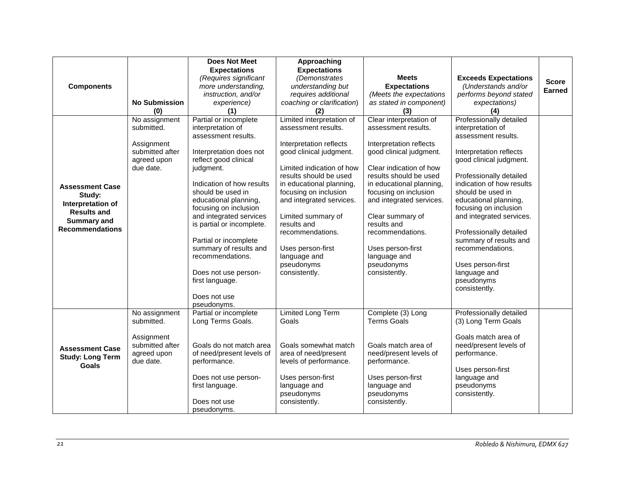|                         |                      | <b>Does Not Meet</b>                       | Approaching                |                          |                             |               |
|-------------------------|----------------------|--------------------------------------------|----------------------------|--------------------------|-----------------------------|---------------|
|                         |                      | <b>Expectations</b>                        | <b>Expectations</b>        |                          |                             |               |
|                         |                      | (Requires significant                      | (Demonstrates              | <b>Meets</b>             | <b>Exceeds Expectations</b> | <b>Score</b>  |
| <b>Components</b>       |                      | more understanding,                        | understanding but          | <b>Expectations</b>      | (Understands and/or         | <b>Earned</b> |
|                         |                      | instruction, and/or                        | requires additional        | (Meets the expectations  | performs beyond stated      |               |
|                         | <b>No Submission</b> | experience)                                | coaching or clarification) | as stated in component)  | expectations)               |               |
|                         | (0)                  | (1)                                        | (2)                        | (3)                      | (4)                         |               |
|                         | No assignment        | Partial or incomplete                      | Limited interpretation of  | Clear interpretation of  | Professionally detailed     |               |
|                         | submitted.           | interpretation of                          | assessment results.        | assessment results.      | interpretation of           |               |
|                         |                      | assessment results.                        |                            |                          | assessment results.         |               |
|                         | Assignment           |                                            | Interpretation reflects    | Interpretation reflects  |                             |               |
|                         | submitted after      | Interpretation does not                    | good clinical judgment.    | good clinical judgment.  | Interpretation reflects     |               |
|                         | agreed upon          | reflect good clinical                      |                            |                          | good clinical judgment.     |               |
|                         | due date.            | judgment.                                  | Limited indication of how  | Clear indication of how  |                             |               |
|                         |                      |                                            | results should be used     | results should be used   | Professionally detailed     |               |
| <b>Assessment Case</b>  |                      | Indication of how results                  | in educational planning,   | in educational planning, | indication of how results   |               |
| Study:                  |                      | should be used in                          | focusing on inclusion      | focusing on inclusion    | should be used in           |               |
| Interpretation of       |                      | educational planning,                      | and integrated services.   | and integrated services. | educational planning,       |               |
| <b>Results and</b>      |                      | focusing on inclusion                      |                            |                          | focusing on inclusion       |               |
| <b>Summary and</b>      |                      | and integrated services                    | Limited summary of         | Clear summary of         | and integrated services.    |               |
| <b>Recommendations</b>  |                      | is partial or incomplete.                  | results and                | results and              |                             |               |
|                         |                      |                                            | recommendations.           | recommendations.         | Professionally detailed     |               |
|                         |                      | Partial or incomplete                      |                            |                          | summary of results and      |               |
|                         |                      | summary of results and<br>recommendations. | Uses person-first          | Uses person-first        | recommendations.            |               |
|                         |                      |                                            | language and               | language and             |                             |               |
|                         |                      |                                            | pseudonyms                 | pseudonyms               | Uses person-first           |               |
|                         |                      | Does not use person-<br>first language.    | consistently.              | consistently.            | language and<br>pseudonyms  |               |
|                         |                      |                                            |                            |                          | consistently.               |               |
|                         |                      | Does not use                               |                            |                          |                             |               |
|                         |                      | pseudonyms.                                |                            |                          |                             |               |
|                         | No assignment        | Partial or incomplete                      | Limited Long Term          | Complete (3) Long        | Professionally detailed     |               |
|                         | submitted.           | Long Terms Goals.                          | Goals                      | <b>Terms Goals</b>       | (3) Long Term Goals         |               |
|                         |                      |                                            |                            |                          |                             |               |
|                         | Assignment           |                                            |                            |                          | Goals match area of         |               |
| <b>Assessment Case</b>  | submitted after      | Goals do not match area                    | Goals somewhat match       | Goals match area of      | need/present levels of      |               |
| <b>Study: Long Term</b> | agreed upon          | of need/present levels of                  | area of need/present       | need/present levels of   | performance.                |               |
| Goals                   | due date.            | performance.                               | levels of performance.     | performance.             |                             |               |
|                         |                      |                                            |                            |                          | Uses person-first           |               |
|                         |                      | Does not use person-                       | Uses person-first          | Uses person-first        | language and                |               |
|                         |                      | first language.                            | language and               | language and             | pseudonyms                  |               |
|                         |                      |                                            | pseudonyms                 | pseudonyms               | consistently.               |               |
|                         |                      | Does not use                               | consistently.              | consistently.            |                             |               |
|                         |                      | pseudonyms.                                |                            |                          |                             |               |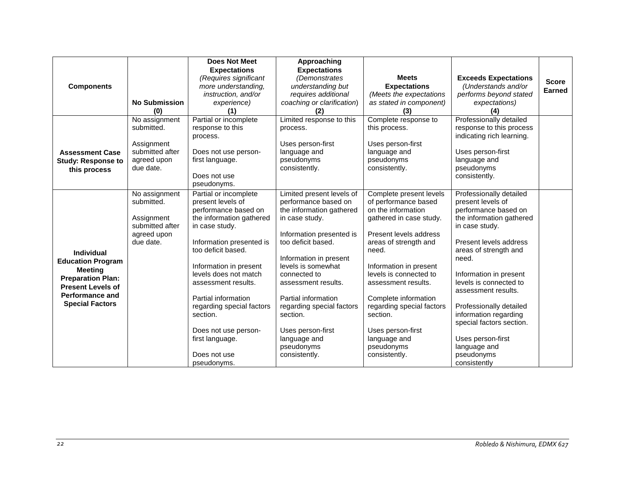|                                                      |                             | <b>Does Not Meet</b>                      | Approaching                                      |                                            |                                           |              |
|------------------------------------------------------|-----------------------------|-------------------------------------------|--------------------------------------------------|--------------------------------------------|-------------------------------------------|--------------|
|                                                      |                             | <b>Expectations</b>                       | <b>Expectations</b>                              |                                            |                                           |              |
|                                                      |                             | (Requires significant                     | (Demonstrates                                    | <b>Meets</b>                               | <b>Exceeds Expectations</b>               | <b>Score</b> |
| <b>Components</b>                                    |                             | more understanding,                       | understanding but                                | <b>Expectations</b>                        | (Understands and/or                       | Earned       |
|                                                      |                             | instruction, and/or                       | requires additional                              | (Meets the expectations                    | performs beyond stated                    |              |
|                                                      | <b>No Submission</b>        | experience)                               | coaching or clarification)                       | as stated in component)                    | expectations)                             |              |
|                                                      | (0)                         |                                           |                                                  | (3)                                        | (4)                                       |              |
|                                                      | No assignment               | Partial or incomplete                     | Limited response to this                         | Complete response to                       | Professionally detailed                   |              |
|                                                      | submitted.                  | response to this                          | process.                                         | this process.                              | response to this process                  |              |
|                                                      |                             | process.                                  |                                                  |                                            | indicating rich learning.                 |              |
|                                                      | Assignment                  |                                           | Uses person-first                                | Uses person-first                          |                                           |              |
| <b>Assessment Case</b>                               | submitted after             | Does not use person-                      | language and                                     | language and                               | Uses person-first                         |              |
| <b>Study: Response to</b>                            | agreed upon                 | first language.                           | pseudonyms                                       | pseudonyms                                 | language and                              |              |
| this process                                         | due date.                   |                                           | consistently.                                    | consistently.                              | pseudonyms                                |              |
|                                                      |                             | Does not use<br>pseudonyms.               |                                                  |                                            | consistently.                             |              |
|                                                      |                             |                                           |                                                  |                                            |                                           |              |
|                                                      | No assignment<br>submitted. | Partial or incomplete                     | Limited present levels of                        | Complete present levels                    | Professionally detailed                   |              |
|                                                      |                             | present levels of<br>performance based on | performance based on<br>the information gathered | of performance based<br>on the information | present levels of<br>performance based on |              |
|                                                      | Assignment                  | the information gathered                  | in case study.                                   | gathered in case study.                    | the information gathered                  |              |
|                                                      | submitted after             | in case study.                            |                                                  |                                            | in case study.                            |              |
|                                                      | agreed upon                 |                                           | Information presented is                         | Present levels address                     |                                           |              |
|                                                      | due date.                   | Information presented is                  | too deficit based.                               | areas of strength and                      | Present levels address                    |              |
| <b>Individual</b>                                    |                             | too deficit based.                        |                                                  | need.                                      | areas of strength and                     |              |
|                                                      |                             |                                           | Information in present                           |                                            | need.                                     |              |
| <b>Education Program</b>                             |                             | Information in present                    | levels is somewhat                               | Information in present                     |                                           |              |
| Meeting                                              |                             | levels does not match                     | connected to                                     | levels is connected to                     | Information in present                    |              |
| <b>Preparation Plan:</b><br><b>Present Levels of</b> |                             | assessment results.                       | assessment results.                              | assessment results.                        | levels is connected to                    |              |
| <b>Performance and</b>                               |                             |                                           |                                                  |                                            | assessment results.                       |              |
|                                                      |                             | Partial information                       | Partial information                              | Complete information                       |                                           |              |
| <b>Special Factors</b>                               |                             | regarding special factors                 | regarding special factors                        | regarding special factors                  | Professionally detailed                   |              |
|                                                      |                             | section.                                  | section.                                         | section.                                   | information regarding                     |              |
|                                                      |                             |                                           |                                                  |                                            | special factors section.                  |              |
|                                                      |                             | Does not use person-                      | Uses person-first                                | Uses person-first                          |                                           |              |
|                                                      |                             | first language.                           | language and                                     | language and                               | Uses person-first                         |              |
|                                                      |                             |                                           | pseudonyms                                       | pseudonyms                                 | language and                              |              |
|                                                      |                             | Does not use                              | consistently.                                    | consistently.                              | pseudonyms                                |              |
|                                                      |                             | pseudonyms.                               |                                                  |                                            | consistently                              |              |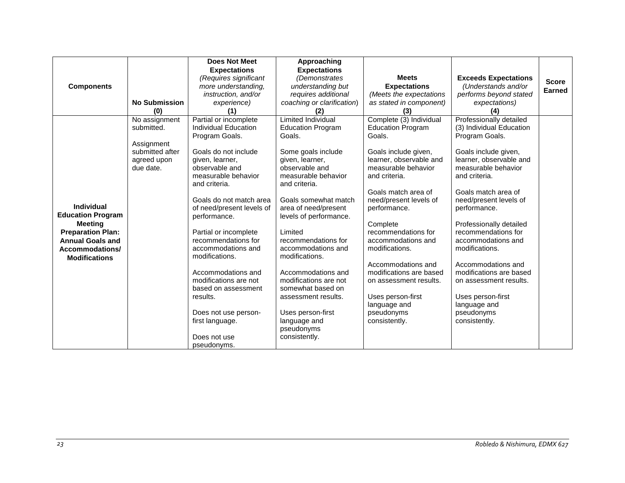|                          |                      | <b>Does Not Meet</b>      | Approaching                |                                        |                                        |               |
|--------------------------|----------------------|---------------------------|----------------------------|----------------------------------------|----------------------------------------|---------------|
|                          |                      | <b>Expectations</b>       | <b>Expectations</b>        |                                        |                                        |               |
|                          |                      | (Requires significant     | (Demonstrates              | <b>Meets</b>                           | <b>Exceeds Expectations</b>            | <b>Score</b>  |
| <b>Components</b>        |                      | more understanding,       | understanding but          | <b>Expectations</b>                    | (Understands and/or                    | <b>Earned</b> |
|                          |                      | instruction, and/or       | requires additional        | (Meets the expectations                | performs beyond stated                 |               |
|                          | <b>No Submission</b> | experience)               | coaching or clarification) | as stated in component)                | expectations)                          |               |
|                          | (0)                  | (1)                       | (2)                        | (3)                                    | (4)                                    |               |
|                          | No assignment        | Partial or incomplete     | <b>Limited Individual</b>  | Complete (3) Individual                | Professionally detailed                |               |
|                          | submitted.           | Individual Education      | <b>Education Program</b>   | <b>Education Program</b>               | (3) Individual Education               |               |
|                          |                      | Program Goals.            | Goals.                     | Goals.                                 | Program Goals.                         |               |
|                          | Assignment           |                           |                            |                                        |                                        |               |
|                          | submitted after      | Goals do not include      | Some goals include         | Goals include given,                   | Goals include given,                   |               |
|                          | agreed upon          | given, learner,           | given, learner,            | learner, observable and                | learner, observable and                |               |
|                          | due date.            | observable and            | observable and             | measurable behavior                    | measurable behavior                    |               |
|                          |                      | measurable behavior       | measurable behavior        | and criteria.                          | and criteria.                          |               |
|                          |                      | and criteria.             | and criteria.              |                                        |                                        |               |
|                          |                      | Goals do not match area   | Goals somewhat match       | Goals match area of                    | Goals match area of                    |               |
| <b>Individual</b>        |                      | of need/present levels of | area of need/present       | need/present levels of<br>performance. | need/present levels of<br>performance. |               |
| <b>Education Program</b> |                      | performance.              | levels of performance.     |                                        |                                        |               |
| <b>Meeting</b>           |                      |                           |                            | Complete                               | Professionally detailed                |               |
| <b>Preparation Plan:</b> |                      | Partial or incomplete     | Limited                    | recommendations for                    | recommendations for                    |               |
| <b>Annual Goals and</b>  |                      | recommendations for       | recommendations for        | accommodations and                     | accommodations and                     |               |
| Accommodations/          |                      | accommodations and        | accommodations and         | modifications.                         | modifications.                         |               |
| <b>Modifications</b>     |                      | modifications.            | modifications.             |                                        |                                        |               |
|                          |                      |                           |                            | Accommodations and                     | Accommodations and                     |               |
|                          |                      | Accommodations and        | Accommodations and         | modifications are based                | modifications are based                |               |
|                          |                      | modifications are not     | modifications are not      | on assessment results.                 | on assessment results.                 |               |
|                          |                      | based on assessment       | somewhat based on          |                                        |                                        |               |
|                          |                      | results.                  | assessment results.        | Uses person-first                      | Uses person-first                      |               |
|                          |                      |                           |                            | language and                           | language and                           |               |
|                          |                      | Does not use person-      | Uses person-first          | pseudonyms                             | pseudonyms                             |               |
|                          |                      | first language.           | language and               | consistently.                          | consistently.                          |               |
|                          |                      |                           | pseudonyms                 |                                        |                                        |               |
|                          |                      | Does not use              | consistently.              |                                        |                                        |               |
|                          |                      | pseudonyms.               |                            |                                        |                                        |               |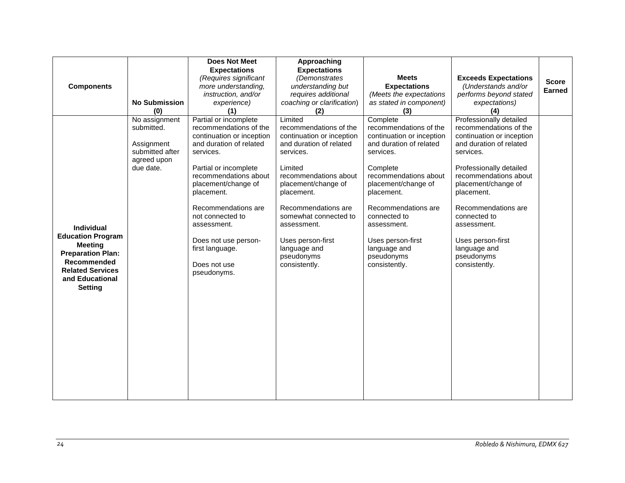|                          |                                | <b>Does Not Meet</b>      | Approaching                |                             |                             |               |
|--------------------------|--------------------------------|---------------------------|----------------------------|-----------------------------|-----------------------------|---------------|
|                          |                                | <b>Expectations</b>       | <b>Expectations</b>        |                             |                             |               |
|                          |                                | (Requires significant     | (Demonstrates              | <b>Meets</b>                | <b>Exceeds Expectations</b> | <b>Score</b>  |
| <b>Components</b>        |                                | more understanding,       | understanding but          | <b>Expectations</b>         | (Understands and/or         | <b>Earned</b> |
|                          |                                | instruction, and/or       | requires additional        | (Meets the expectations     | performs beyond stated      |               |
|                          | <b>No Submission</b>           | experience)               | coaching or clarification) | as stated in component)     | expectations)               |               |
|                          | (0)                            | (1)                       | (2)                        | (3)                         | (4)                         |               |
|                          | No assignment                  | Partial or incomplete     | Limited                    | Complete                    | Professionally detailed     |               |
|                          | submitted.                     | recommendations of the    | recommendations of the     | recommendations of the      | recommendations of the      |               |
|                          |                                | continuation or inception | continuation or inception  | continuation or inception   | continuation or inception   |               |
|                          | Assignment                     | and duration of related   | and duration of related    | and duration of related     | and duration of related     |               |
|                          | submitted after<br>agreed upon | services.                 | services.                  | services.                   | services.                   |               |
|                          | due date.                      | Partial or incomplete     | Limited                    | Complete                    | Professionally detailed     |               |
|                          |                                | recommendations about     | recommendations about      | recommendations about       | recommendations about       |               |
|                          |                                | placement/change of       | placement/change of        | placement/change of         | placement/change of         |               |
|                          |                                | placement.                | placement.                 | placement.                  | placement.                  |               |
|                          |                                |                           |                            |                             |                             |               |
|                          |                                | Recommendations are       | Recommendations are        | Recommendations are         | Recommendations are         |               |
|                          |                                | not connected to          | somewhat connected to      | connected to                | connected to                |               |
| <b>Individual</b>        |                                | assessment.               | assessment.                | assessment.                 | assessment.                 |               |
| <b>Education Program</b> |                                |                           |                            |                             |                             |               |
| <b>Meeting</b>           |                                | Does not use person-      | Uses person-first          | Uses person-first           | Uses person-first           |               |
| <b>Preparation Plan:</b> |                                | first language.           | language and               | language and                | language and                |               |
| Recommended              |                                | Does not use              | pseudonyms                 | pseudonyms<br>consistently. | pseudonyms                  |               |
| <b>Related Services</b>  |                                | pseudonyms.               | consistently.              |                             | consistently.               |               |
| and Educational          |                                |                           |                            |                             |                             |               |
| <b>Setting</b>           |                                |                           |                            |                             |                             |               |
|                          |                                |                           |                            |                             |                             |               |
|                          |                                |                           |                            |                             |                             |               |
|                          |                                |                           |                            |                             |                             |               |
|                          |                                |                           |                            |                             |                             |               |
|                          |                                |                           |                            |                             |                             |               |
|                          |                                |                           |                            |                             |                             |               |
|                          |                                |                           |                            |                             |                             |               |
|                          |                                |                           |                            |                             |                             |               |
|                          |                                |                           |                            |                             |                             |               |
|                          |                                |                           |                            |                             |                             |               |
|                          |                                |                           |                            |                             |                             |               |
|                          |                                |                           |                            |                             |                             |               |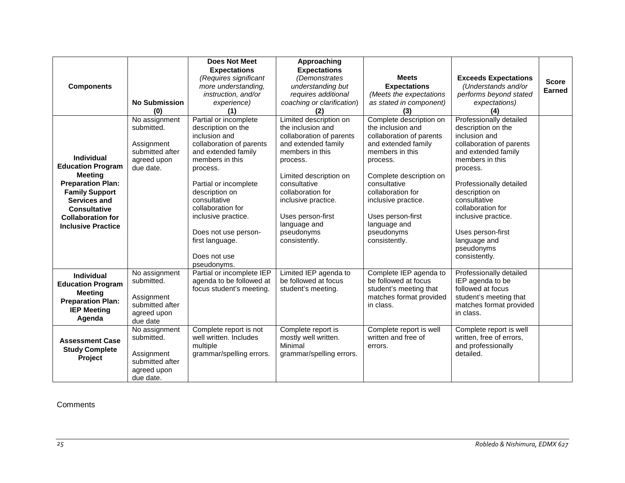|                           |                      | <b>Does Not Meet</b>                    | Approaching                 |                             |                                   |              |
|---------------------------|----------------------|-----------------------------------------|-----------------------------|-----------------------------|-----------------------------------|--------------|
|                           |                      | <b>Expectations</b>                     | <b>Expectations</b>         |                             |                                   |              |
|                           |                      | (Requires significant                   | (Demonstrates               | <b>Meets</b>                | <b>Exceeds Expectations</b>       | <b>Score</b> |
| <b>Components</b>         |                      | more understanding,                     | understanding but           | <b>Expectations</b>         | (Understands and/or               | Earned       |
|                           |                      | instruction, and/or                     | requires additional         | (Meets the expectations     | performs beyond stated            |              |
|                           | <b>No Submission</b> | experience)                             | coaching or clarification)  | as stated in component)     | expectations)                     |              |
|                           | (0)                  | (1)                                     | (2)                         | (3)                         | (4)                               |              |
|                           | No assignment        | Partial or incomplete                   | Limited description on      | Complete description on     | Professionally detailed           |              |
|                           | submitted.           | description on the                      | the inclusion and           | the inclusion and           | description on the                |              |
|                           |                      | inclusion and                           | collaboration of parents    | collaboration of parents    | inclusion and                     |              |
|                           | Assignment           | collaboration of parents                | and extended family         | and extended family         | collaboration of parents          |              |
|                           | submitted after      | and extended family                     | members in this             | members in this             | and extended family               |              |
| <b>Individual</b>         | agreed upon          | members in this                         | process.                    | process.                    | members in this                   |              |
| <b>Education Program</b>  | due date.            | process.                                |                             |                             | process.                          |              |
| <b>Meeting</b>            |                      |                                         | Limited description on      | Complete description on     |                                   |              |
| <b>Preparation Plan:</b>  |                      | Partial or incomplete                   | consultative                | consultative                | Professionally detailed           |              |
| <b>Family Support</b>     |                      | description on                          | collaboration for           | collaboration for           | description on                    |              |
| Services and              |                      | consultative                            | inclusive practice.         | inclusive practice.         | consultative                      |              |
| <b>Consultative</b>       |                      | collaboration for                       |                             |                             | collaboration for                 |              |
| <b>Collaboration for</b>  |                      | inclusive practice.                     | Uses person-first           | Uses person-first           | inclusive practice.               |              |
| <b>Inclusive Practice</b> |                      |                                         | language and                | language and                |                                   |              |
|                           |                      | Does not use person-<br>first language. | pseudonyms<br>consistently. | pseudonyms<br>consistently. | Uses person-first<br>language and |              |
|                           |                      |                                         |                             |                             | pseudonyms                        |              |
|                           |                      | Does not use                            |                             |                             | consistently.                     |              |
|                           |                      | pseudonyms.                             |                             |                             |                                   |              |
|                           | No assignment        | Partial or incomplete IEP               | Limited IEP agenda to       | Complete IEP agenda to      | Professionally detailed           |              |
| <b>Individual</b>         | submitted.           | agenda to be followed at                | be followed at focus        | be followed at focus        | IEP agenda to be                  |              |
| <b>Education Program</b>  |                      | focus student's meeting.                | student's meeting.          | student's meeting that      | followed at focus                 |              |
| <b>Meeting</b>            | Assignment           |                                         |                             | matches format provided     | student's meeting that            |              |
| <b>Preparation Plan:</b>  | submitted after      |                                         |                             | in class.                   | matches format provided           |              |
| <b>IEP Meeting</b>        | agreed upon          |                                         |                             |                             | in class.                         |              |
| Agenda                    | due date             |                                         |                             |                             |                                   |              |
|                           | No assignment        | Complete report is not                  | Complete report is          | Complete report is well     | Complete report is well           |              |
| <b>Assessment Case</b>    | submitted.           | well written. Includes                  | mostly well written.        | written and free of         | written, free of errors,          |              |
| <b>Study Complete</b>     |                      | multiple                                | Minimal                     | errors.                     | and professionally                |              |
| Project                   | Assignment           | grammar/spelling errors.                | grammar/spelling errors.    |                             | detailed.                         |              |
|                           | submitted after      |                                         |                             |                             |                                   |              |
|                           | agreed upon          |                                         |                             |                             |                                   |              |
|                           | due date.            |                                         |                             |                             |                                   |              |

**Comments**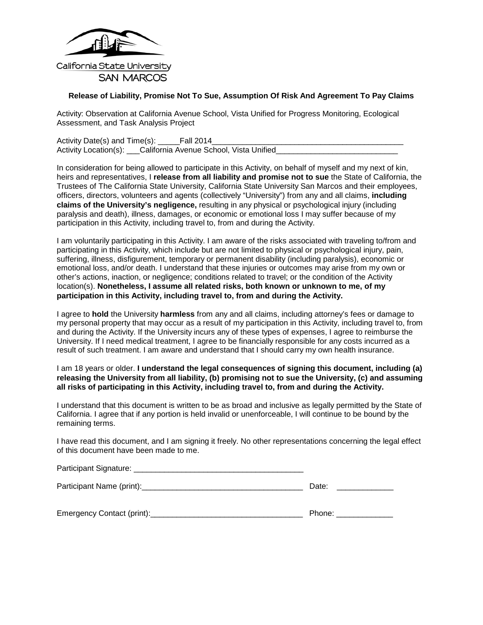

#### <span id="page-25-0"></span>**Release of Liability, Promise Not To Sue, Assumption Of Risk And Agreement To Pay Claims**

Activity: Observation at California Avenue School, Vista Unified for Progress Monitoring, Ecological Assessment, and Task Analysis Project

Activity Date(s) and Time(s): \_\_\_\_\_Fall 2014\_ Activity Location(s): \_\_\_California Avenue School, Vista Unified

In consideration for being allowed to participate in this Activity, on behalf of myself and my next of kin, heirs and representatives, I **release from all liability and promise not to sue** the State of California, the Trustees of The California State University, California State University San Marcos and their employees, officers, directors, volunteers and agents (collectively "University") from any and all claims, **including claims of the University's negligence,** resulting in any physical or psychological injury (including paralysis and death), illness, damages, or economic or emotional loss I may suffer because of my participation in this Activity, including travel to, from and during the Activity.

I am voluntarily participating in this Activity. I am aware of the risks associated with traveling to/from and participating in this Activity, which include but are not limited to physical or psychological injury, pain, suffering, illness, disfigurement, temporary or permanent disability (including paralysis), economic or emotional loss, and/or death. I understand that these injuries or outcomes may arise from my own or other's actions, inaction, or negligence; conditions related to travel; or the condition of the Activity location(s). **Nonetheless, I assume all related risks, both known or unknown to me, of my participation in this Activity, including travel to, from and during the Activity.**

I agree to **hold** the University **harmless** from any and all claims, including attorney's fees or damage to my personal property that may occur as a result of my participation in this Activity, including travel to, from and during the Activity. If the University incurs any of these types of expenses, I agree to reimburse the University. If I need medical treatment, I agree to be financially responsible for any costs incurred as a result of such treatment. I am aware and understand that I should carry my own health insurance.

I am 18 years or older. **I understand the legal consequences of signing this document, including (a) releasing the University from all liability, (b) promising not to sue the University, (c) and assuming all risks of participating in this Activity, including travel to, from and during the Activity.**

I understand that this document is written to be as broad and inclusive as legally permitted by the State of California. I agree that if any portion is held invalid or unenforceable, I will continue to be bound by the remaining terms.

I have read this document, and I am signing it freely. No other representations concerning the legal effect of this document have been made to me.

| Participant Signature:     |        |
|----------------------------|--------|
|                            | Date:  |
| Emergency Contact (print): | Phone: |